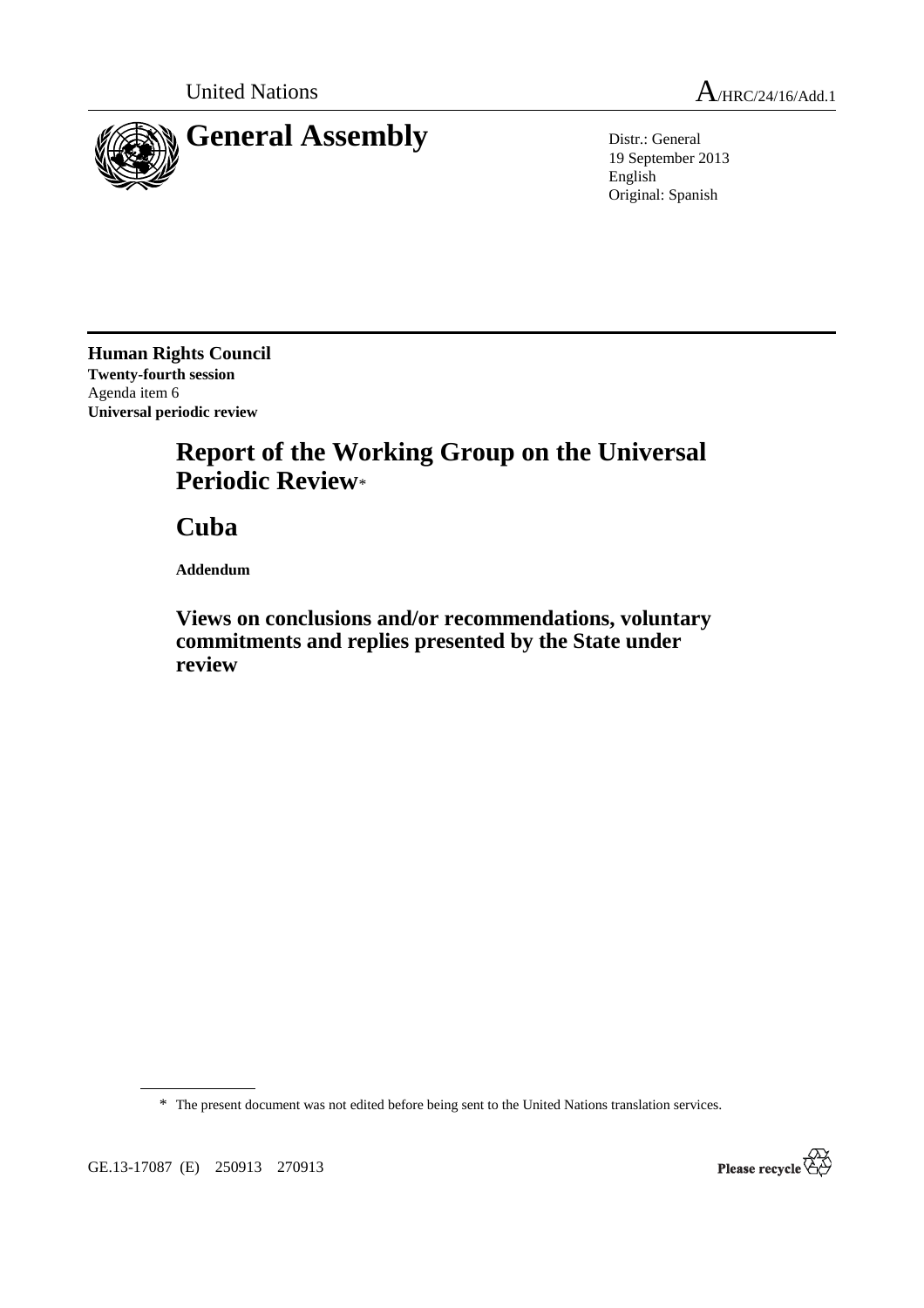

19 September 2013 English Original: Spanish

**Human Rights Council Twenty-fourth session**  Agenda item 6 **Universal periodic review** 

## **Report of the Working Group on the Universal Periodic Review**\*

 **Cuba** 

 **Addendum** 

 **Views on conclusions and/or recommendations, voluntary commitments and replies presented by the State under review** 

\* The present document was not edited before being sent to the United Nations translation services.

GE.13-17087 (E) 250913 270913

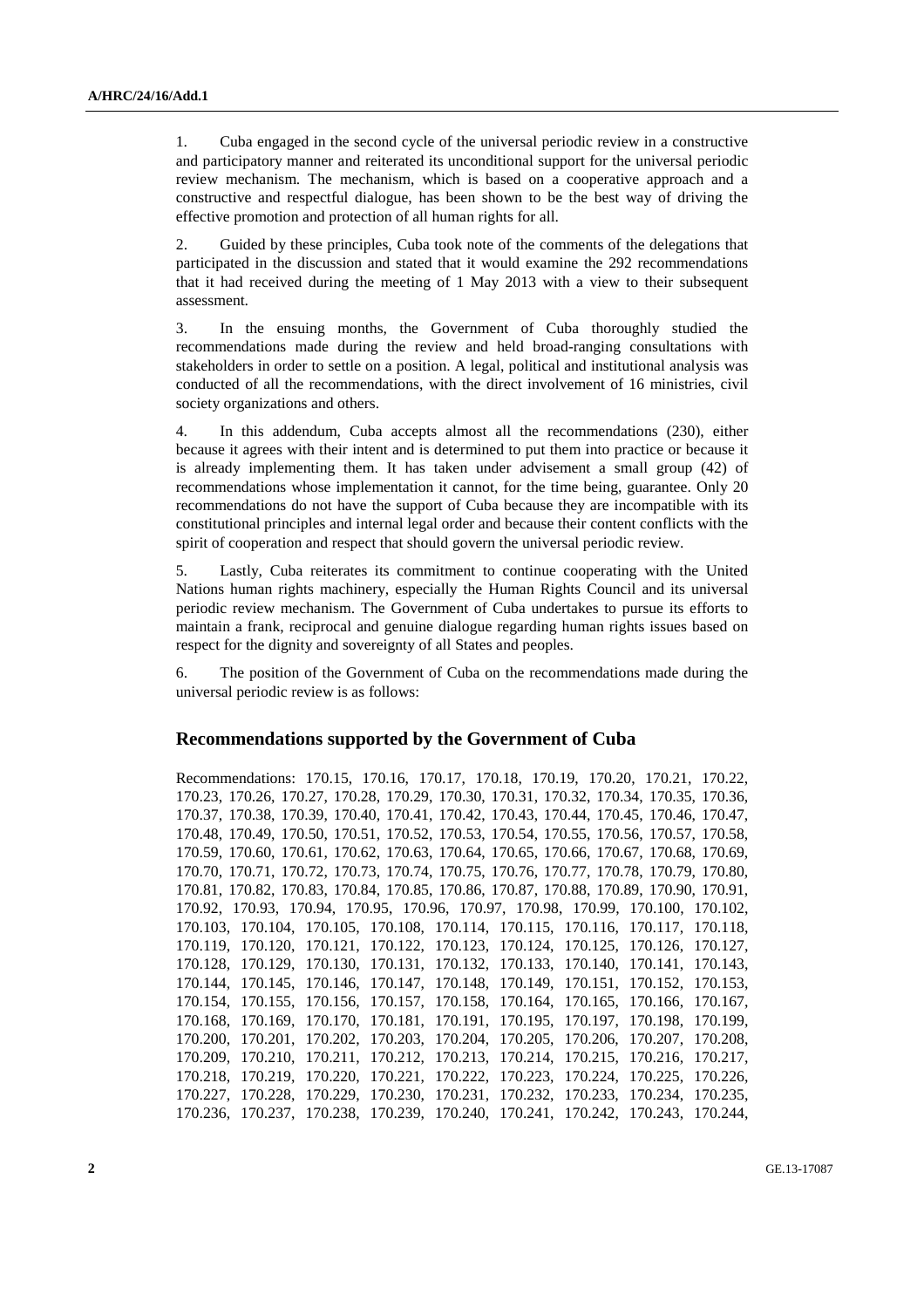1. Cuba engaged in the second cycle of the universal periodic review in a constructive and participatory manner and reiterated its unconditional support for the universal periodic review mechanism. The mechanism, which is based on a cooperative approach and a constructive and respectful dialogue, has been shown to be the best way of driving the effective promotion and protection of all human rights for all.

2. Guided by these principles, Cuba took note of the comments of the delegations that participated in the discussion and stated that it would examine the 292 recommendations that it had received during the meeting of 1 May 2013 with a view to their subsequent assessment.

3. In the ensuing months, the Government of Cuba thoroughly studied the recommendations made during the review and held broad-ranging consultations with stakeholders in order to settle on a position. A legal, political and institutional analysis was conducted of all the recommendations, with the direct involvement of 16 ministries, civil society organizations and others.

4. In this addendum, Cuba accepts almost all the recommendations (230), either because it agrees with their intent and is determined to put them into practice or because it is already implementing them. It has taken under advisement a small group (42) of recommendations whose implementation it cannot, for the time being, guarantee. Only 20 recommendations do not have the support of Cuba because they are incompatible with its constitutional principles and internal legal order and because their content conflicts with the spirit of cooperation and respect that should govern the universal periodic review.

5. Lastly, Cuba reiterates its commitment to continue cooperating with the United Nations human rights machinery, especially the Human Rights Council and its universal periodic review mechanism. The Government of Cuba undertakes to pursue its efforts to maintain a frank, reciprocal and genuine dialogue regarding human rights issues based on respect for the dignity and sovereignty of all States and peoples.

6. The position of the Government of Cuba on the recommendations made during the universal periodic review is as follows:

## **Recommendations supported by the Government of Cuba**

Recommendations: 170.15, 170.16, 170.17, 170.18, 170.19, 170.20, 170.21, 170.22, 170.23, 170.26, 170.27, 170.28, 170.29, 170.30, 170.31, 170.32, 170.34, 170.35, 170.36, 170.37, 170.38, 170.39, 170.40, 170.41, 170.42, 170.43, 170.44, 170.45, 170.46, 170.47, 170.48, 170.49, 170.50, 170.51, 170.52, 170.53, 170.54, 170.55, 170.56, 170.57, 170.58, 170.59, 170.60, 170.61, 170.62, 170.63, 170.64, 170.65, 170.66, 170.67, 170.68, 170.69, 170.70, 170.71, 170.72, 170.73, 170.74, 170.75, 170.76, 170.77, 170.78, 170.79, 170.80, 170.81, 170.82, 170.83, 170.84, 170.85, 170.86, 170.87, 170.88, 170.89, 170.90, 170.91, 170.92, 170.93, 170.94, 170.95, 170.96, 170.97, 170.98, 170.99, 170.100, 170.102, 170.103, 170.104, 170.105, 170.108, 170.114, 170.115, 170.116, 170.117, 170.118, 170.119, 170.120, 170.121, 170.122, 170.123, 170.124, 170.125, 170.126, 170.127, 170.128, 170.129, 170.130, 170.131, 170.132, 170.133, 170.140, 170.141, 170.143, 170.144, 170.145, 170.146, 170.147, 170.148, 170.149, 170.151, 170.152, 170.153, 170.154, 170.155, 170.156, 170.157, 170.158, 170.164, 170.165, 170.166, 170.167, 170.168, 170.169, 170.170, 170.181, 170.191, 170.195, 170.197, 170.198, 170.199, 170.200, 170.201, 170.202, 170.203, 170.204, 170.205, 170.206, 170.207, 170.208, 170.209, 170.210, 170.211, 170.212, 170.213, 170.214, 170.215, 170.216, 170.217, 170.218, 170.219, 170.220, 170.221, 170.222, 170.223, 170.224, 170.225, 170.226, 170.227, 170.228, 170.229, 170.230, 170.231, 170.232, 170.233, 170.234, 170.235, 170.236, 170.237, 170.238, 170.239, 170.240, 170.241, 170.242, 170.243, 170.244,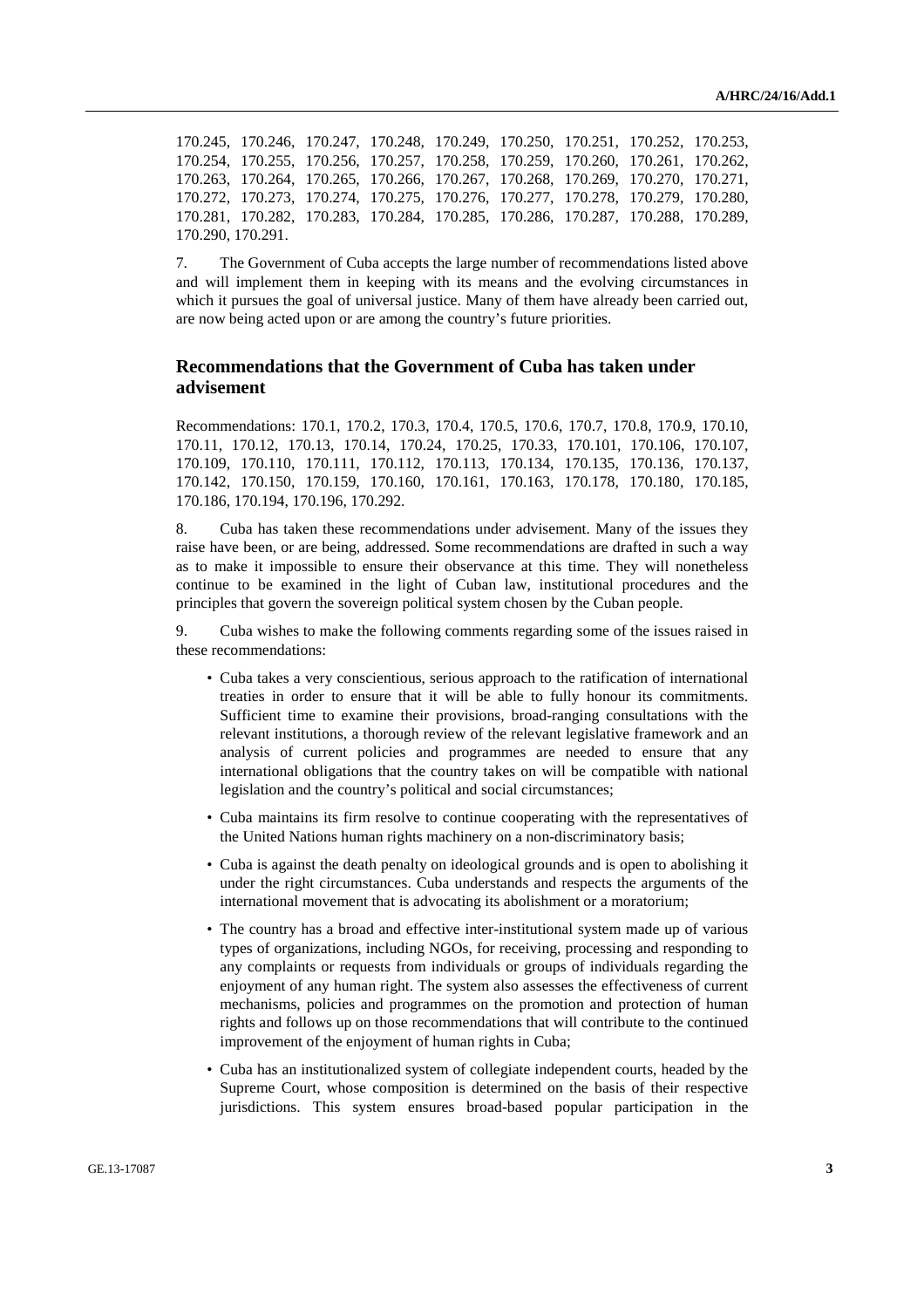170.245, 170.246, 170.247, 170.248, 170.249, 170.250, 170.251, 170.252, 170.253, 170.254, 170.255, 170.256, 170.257, 170.258, 170.259, 170.260, 170.261, 170.262, 170.263, 170.264, 170.265, 170.266, 170.267, 170.268, 170.269, 170.270, 170.271, 170.272, 170.273, 170.274, 170.275, 170.276, 170.277, 170.278, 170.279, 170.280, 170.281, 170.282, 170.283, 170.284, 170.285, 170.286, 170.287, 170.288, 170.289, 170.290, 170.291.

7. The Government of Cuba accepts the large number of recommendations listed above and will implement them in keeping with its means and the evolving circumstances in which it pursues the goal of universal justice. Many of them have already been carried out, are now being acted upon or are among the country's future priorities.

## **Recommendations that the Government of Cuba has taken under advisement**

Recommendations: 170.1, 170.2, 170.3, 170.4, 170.5, 170.6, 170.7, 170.8, 170.9, 170.10, 170.11, 170.12, 170.13, 170.14, 170.24, 170.25, 170.33, 170.101, 170.106, 170.107, 170.109, 170.110, 170.111, 170.112, 170.113, 170.134, 170.135, 170.136, 170.137, 170.142, 170.150, 170.159, 170.160, 170.161, 170.163, 170.178, 170.180, 170.185, 170.186, 170.194, 170.196, 170.292.

8. Cuba has taken these recommendations under advisement. Many of the issues they raise have been, or are being, addressed. Some recommendations are drafted in such a way as to make it impossible to ensure their observance at this time. They will nonetheless continue to be examined in the light of Cuban law, institutional procedures and the principles that govern the sovereign political system chosen by the Cuban people.

9. Cuba wishes to make the following comments regarding some of the issues raised in these recommendations:

- Cuba takes a very conscientious, serious approach to the ratification of international treaties in order to ensure that it will be able to fully honour its commitments. Sufficient time to examine their provisions, broad-ranging consultations with the relevant institutions, a thorough review of the relevant legislative framework and an analysis of current policies and programmes are needed to ensure that any international obligations that the country takes on will be compatible with national legislation and the country's political and social circumstances;
- Cuba maintains its firm resolve to continue cooperating with the representatives of the United Nations human rights machinery on a non-discriminatory basis;
- Cuba is against the death penalty on ideological grounds and is open to abolishing it under the right circumstances. Cuba understands and respects the arguments of the international movement that is advocating its abolishment or a moratorium;
- The country has a broad and effective inter-institutional system made up of various types of organizations, including NGOs, for receiving, processing and responding to any complaints or requests from individuals or groups of individuals regarding the enjoyment of any human right. The system also assesses the effectiveness of current mechanisms, policies and programmes on the promotion and protection of human rights and follows up on those recommendations that will contribute to the continued improvement of the enjoyment of human rights in Cuba;
- Cuba has an institutionalized system of collegiate independent courts, headed by the Supreme Court, whose composition is determined on the basis of their respective jurisdictions. This system ensures broad-based popular participation in the